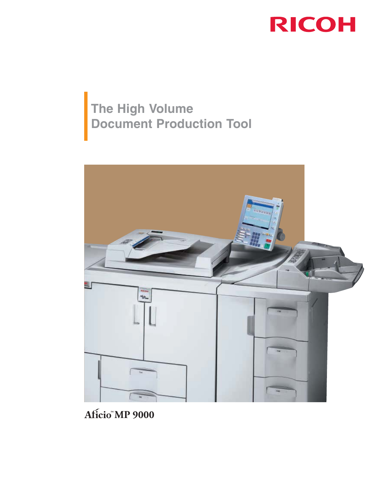

# **The High Volume Document Production Tool**



**MP 9000**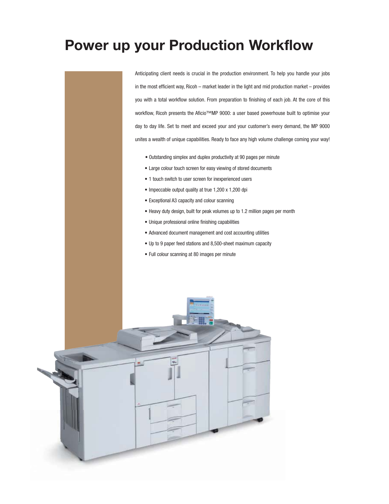# **Power up your Production Workflow**

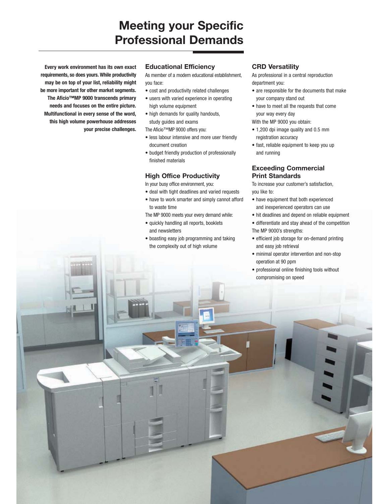# **Meeting your Specific Professional Demands**

**Every work environment has its own exact requirements, so does yours. While productivity may be on top of your list, reliability might be more important for other market segments. The Aficio™MP 9000 transcends primary needs and focuses on the entire picture. Multifunctional in every sense of the word, this high volume powerhouse addresses your precise challenges.**

#### **Educational Efficiency**

As member of a modern educational establishment, you face:

- cost and productivity related challenges
- users with varied experience in operating high volume equipment
- high demands for quality handouts, study guides and exams

The Aficio™MP 9000 offers you:

- less labour intensive and more user friendly document creation
- budget friendly production of professionally finished materials

#### **High Office Productivity**

In your busy office environment, you:

- deal with tight deadlines and varied requests
- have to work smarter and simply cannot afford to waste time

The MP 9000 meets your every demand while:

- quickly handling all reports, booklets and newsletters
- boasting easy job programming and taking the complexity out of high volume

#### **CRD Versatility**

As professional in a central reproduction department you:

- are responsible for the documents that make your company stand out
- have to meet all the requests that come your way every day
- With the MP 9000 you obtain:
- 1,200 dpi image quality and 0.5 mm registration accuracy
- fast, reliable equipment to keep you up and running

# **Exceeding Commercial Print Standards**

To increase your customer's satisfaction, you like to:

- have equipment that both experienced and inexperienced operators can use
- hit deadlines and depend on reliable equipment
- differentiate and stay ahead of the competition The MP 9000's strengths:
- efficient job storage for on-demand printing and easy job retrieval
- minimal operator intervention and non-stop operation at 90 ppm
- professional online finishing tools without compromising on speed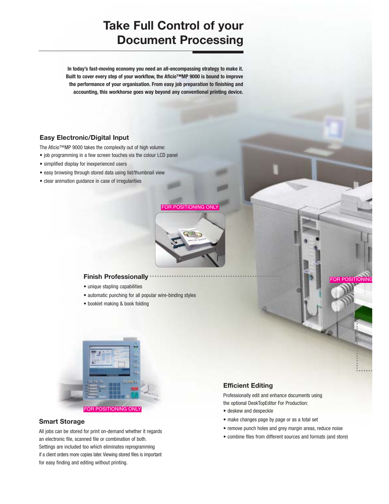# **Take Full Control of your Document Processing**

**In today's fast-moving economy you need an all-encompassing strategy to make it. Built to cover every step of your workflow, the Aficio™MP 9000 is bound to improve the performance of your organisation. From easy job preparation to finishing and accounting, this workhorse goes way beyond any conventional printing device.**

# **Easy Electronic/Digital Input**

The Aficio™MP 9000 takes the complexity out of high volume:

- job programming in a few screen touches via the colour LCD panel
- simplified display for inexperienced users
- easy browsing through stored data using list/thumbnail view
- clear animation guidance in case of irregularities



••••••••••••••••••••••••••••••••••••••••••••••••••••••

# **Finish Professionally**

- unique stapling capabilities
- automatic punching for all popular wire-binding styles
- booklet making & book folding



### **Smart Storage**

All jobs can be stored for print on-demand whether it regards an electronic file, scanned file or combination of both. Settings are included too which eliminates reprogramming if a client orders more copies later. Viewing stored files is important for easy finding and editing without printing.

# **Efficient Editing**

Professionally edit and enhance documents using the optional DeskTopEditor For Production:

- deskew and despeckle
- make changes page by page or as a total set
- remove punch holes and grey margin areas, reduce noise
- combine files from different sources and formats (and store)

•••••• • ••••••••••••••••••••

**OR POSITIONIN**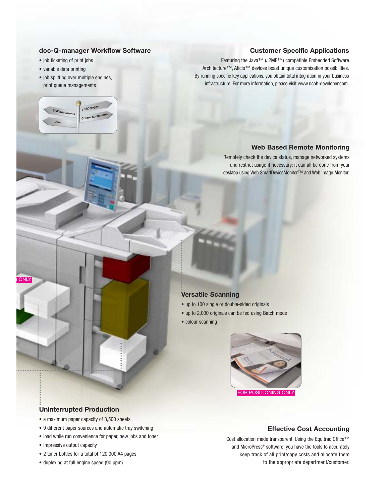#### **doc-Q-manager Workflow Software**

**Colour documents**

**<sup>&</sup>gt; <sup>500</sup> pages**

- job ticketing of print jobs
- variable data printing

**User**

**B/W documents**

• job splitting over multiple engines, print queue managements

### **Customer Specific Applications**

Featuring the Java™ (J2ME™) compatible Embedded Software Architecture™, Aficio™ devices boast unique customisation possibilities. By running specific key applications, you obtain total integration in your business infrastructure. For more information, please visit www.ricoh-developer.com.

### **Web Based Remote Monitoring**

Remotely check the device status, manage networked systems and restrict usage if necessary: it can all be done from your desktop using Web SmartDeviceMonitor™ and Web Image Monitor.

#### **Versatile Scanning**

- up to 100 single or double-sided originals
- up to 2,000 originals can be fed using Batch mode
- colour scanning

•••••••••••••••••••••



# **Uninterrupted Production**

- a maximum paper capacity of 8,500 sheets
- 9 different paper sources and automatic tray switching
- load while run convenience for paper, new jobs and toner
- impressive output capacity

• ••••••••••••••••••••••••••••••••••••••••••• •••••••••••

••••••••••••••

**ONLY** 

- 2 toner bottles for a total of 120,000 A4 pages
- duplexing at full engine speed (90 ppm)

#### **Effective Cost Accounting**

Cost allocation made transparent. Using the Equitrac Office™ and MicroPress® software, you have the tools to accurately keep track of all print/copy costs and allocate them to the appropriate department/customer.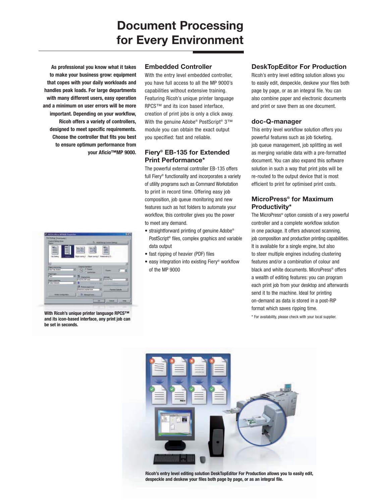# **Document Processing for Every Environment**

**As professional you know what it takes to make your business grow: equipment that copes with your daily workloads and handles peak loads. For large departments with many different users, easy operation and a minimum on user errors will be more important. Depending on your workflow, Ricoh offers a variety of controllers, designed to meet specific requirements. Choose the controller that fits you best to ensure optimum performance from your Aficio™MP 9000.**



**With Ricoh's unique printer language RPCS™ and its icon-based interface, any print job can be set in seconds.**

#### **Embedded Controller**

With the entry level embedded controller, you have full access to all the MP 9000's capabilities without extensive training. Featuring Ricoh's unique printer language RPCS™ and its icon based interface, creation of print jobs is only a click away. With the genuine Adobe® PostScript® 3™ module you can obtain the exact output you specified: fast and reliable.

# **Fiery® EB-135 for Extended Print Performance\***

The powerful external controller EB-135 offers full Fiery® functionality and incorporates a variety of utility programs such as Command Workstation to print in record time. Offering easy job composition, job queue monitoring and new features such as hot folders to automate your workflow, this controller gives you the power to meet any demand.

- straightforward printing of genuine Adobe® PostScript® files, complex graphics and variable data output
- fast ripping of heavier (PDF) files
- easy integration into existing Fiery® workflow of the MP 9000

### **DeskTopEditor For Production**

Ricoh's entry level editing solution allows you to easily edit, despeckle, deskew your files both page by page, or as an integral file. You can also combine paper and electronic documents and print or save them as one document.

#### **doc-Q-manager**

This entry level workflow solution offers you powerful features such as job ticketing, job queue management, job splitting as well as merging variable data with a pre-formatted document. You can also expand this software solution in such a way that print jobs will be re-routed to the output device that is most efficient to print for optimised print costs.

# **MicroPress® for Maximum Productivity\***

The MicroPress® option consists of a very powerful controller and a complete workflow solution in one package. It offers advanced scanning, job composition and production printing capabilities. It is available for a single engine, but also to steer multiple engines including clustering features and/or a combination of colour and black and white documents. MicroPress<sup>®</sup> offers a wealth of editing features: you can program each print job from your desktop and afterwards send it to the machine. Ideal for printing on-demand as data is stored in a post-RIP format which saves ripping time.

\* For availability, please check with your local supplier.



**Ricoh's entry level editing solution DeskTopEditor For Production allows you to easily edit, despeckle and deskew your files both page by page, or as an integral file.**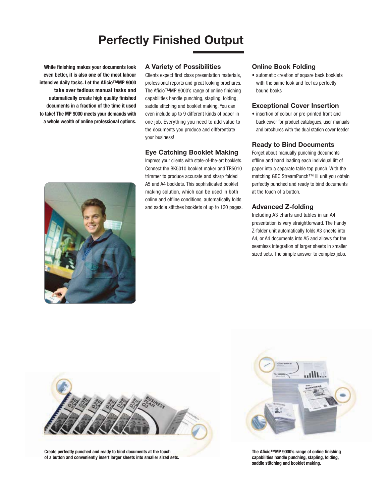# **Perfectly Finished Output**

**While finishing makes your documents look even better, it is also one of the most labour intensive daily tasks. Let the Aficio™MP 9000 take over tedious manual tasks and automatically create high quality finished documents in a fraction of the time it used to take! The MP 9000 meets your demands with a whole wealth of online professional options.**

#### **A Variety of Possibilities**

Clients expect first class presentation materials, professional reports and great looking brochures. The Aficio™MP 9000's range of online finishing capabilities handle punching, stapling, folding, saddle stitching and booklet making. You can even include up to 9 different kinds of paper in one job. Everything you need to add value to the documents you produce and differentiate your business!

### **Eye Catching Booklet Making**

Impress your clients with state-of-the-art booklets. Connect the BK5010 booklet maker and TR5010 trimmer to produce accurate and sharp folded A5 and A4 booklets. This sophisticated booklet making solution, which can be used in both online and offline conditions, automatically folds and saddle stitches booklets of up to 120 pages.

#### **Online Book Folding**

• automatic creation of square back booklets with the same look and feel as perfectly bound books

#### **Exceptional Cover Insertion**

• insertion of colour or pre-printed front and back cover for product catalogues, user manuals and brochures with the dual station cover feeder

#### **Ready to Bind Documents**

Forget about manually punching documents offline and hand loading each individual lift of paper into a separate table top punch. With the matching GBC StreamPunch™ III unit you obtain perfectly punched and ready to bind documents at the touch of a button.

### **Advanced Z-folding**

Including A3 charts and tables in an A4 presentation is very straightforward. The handy Z-folder unit automatically folds A3 sheets into A4, or A4 documents into A5 and allows for the seamless integration of larger sheets in smaller sized sets. The simple answer to complex jobs.





**Create perfectly punched and ready to bind documents at the touch of a button and conveniently insert larger sheets into smaller sized sets.**



**The Aficio™MP 9000's range of online finishing capabilities handle punching, stapling, folding, saddle stitching and booklet making.**